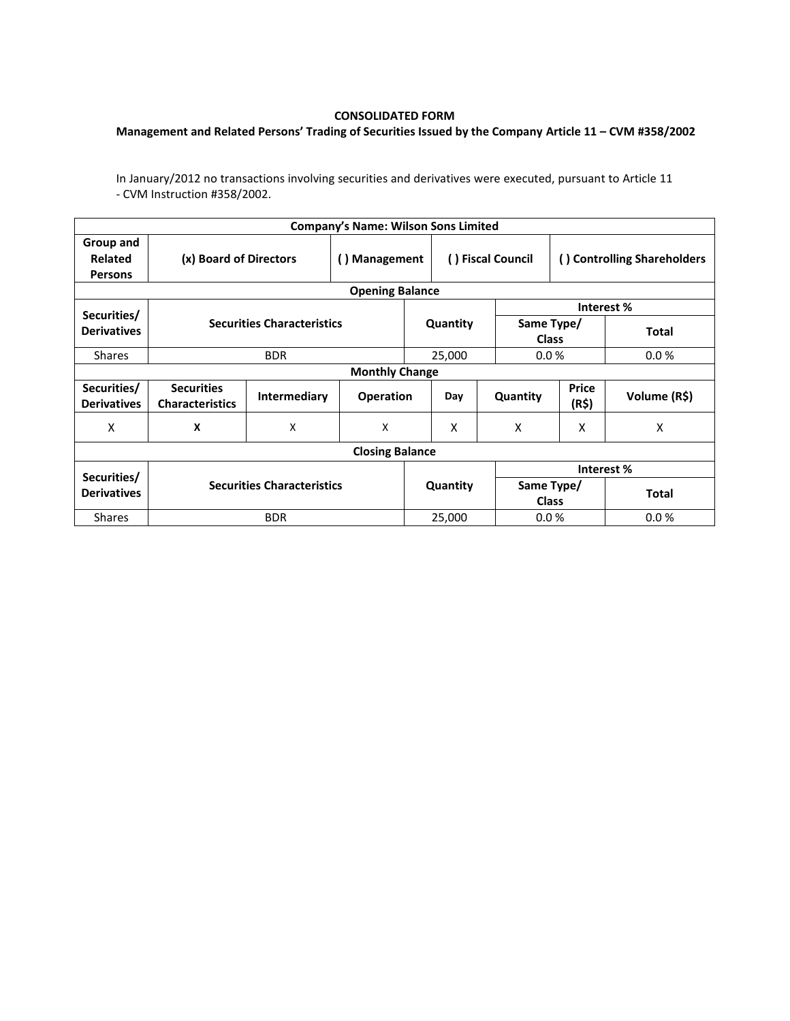## **CONSOLIDATED FORM**

## **Management and Related Persons' Trading of Securities Issued by the Company Article 11 – CVM #358/2002**

In January/2012 no transactions involving securities and derivatives were executed, pursuant to Article 11 - CVM Instruction #358/2002.

|                                               |                                             |                           | <b>Company's Name: Wilson Sons Limited</b> |                   |                |                             |                |              |  |  |  |
|-----------------------------------------------|---------------------------------------------|---------------------------|--------------------------------------------|-------------------|----------------|-----------------------------|----------------|--------------|--|--|--|
| Group and<br><b>Related</b><br><b>Persons</b> | (x) Board of Directors                      | () Management             |                                            | () Fiscal Council |                | () Controlling Shareholders |                |              |  |  |  |
| <b>Opening Balance</b>                        |                                             |                           |                                            |                   |                |                             |                |              |  |  |  |
| Securities/                                   | <b>Securities Characteristics</b>           |                           |                                            |                   |                |                             | Interest %     |              |  |  |  |
| <b>Derivatives</b>                            |                                             |                           |                                            |                   | Quantity       | Same Type/<br><b>Class</b>  |                | <b>Total</b> |  |  |  |
| <b>Shares</b>                                 |                                             | <b>BDR</b>                |                                            |                   | 25,000         | 0.0%                        |                | 0.0%         |  |  |  |
| <b>Monthly Change</b>                         |                                             |                           |                                            |                   |                |                             |                |              |  |  |  |
| Securities/<br><b>Derivatives</b>             | <b>Securities</b><br><b>Characteristics</b> | <b>Intermediary</b>       | <b>Operation</b>                           |                   | Day            | Quantity                    | Price<br>(R\$) | Volume (R\$) |  |  |  |
| x                                             | X                                           | $\boldsymbol{\mathsf{X}}$ | X                                          |                   | X              | X                           | X              | X            |  |  |  |
| <b>Closing Balance</b>                        |                                             |                           |                                            |                   |                |                             |                |              |  |  |  |
|                                               |                                             |                           |                                            |                   |                | Interest %                  |                |              |  |  |  |
| Securities/<br><b>Derivatives</b>             | <b>Securities Characteristics</b>           |                           |                                            | Quantity          |                | Same Type/<br><b>Class</b>  |                | <b>Total</b> |  |  |  |
| <b>Shares</b>                                 |                                             | <b>BDR</b>                |                                            |                   | 25,000<br>0.0% |                             |                | 0.0%         |  |  |  |